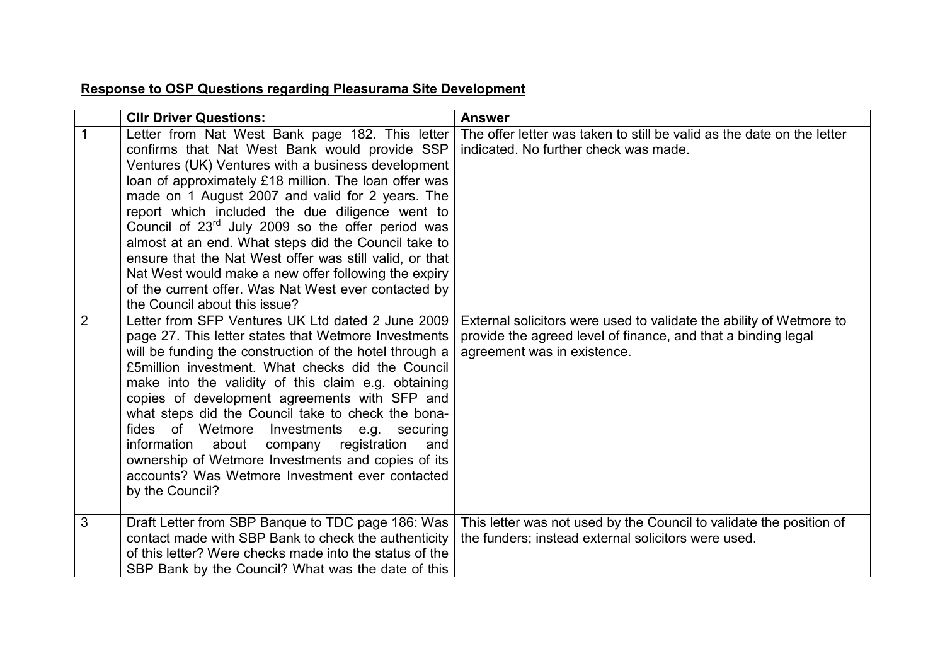## **Response to OSP Questions regarding Pleasurama Site Development**

|                | <b>CIIr Driver Questions:</b>                                                                                                                                                                                                                                                                                                                                                                                                                                                                                                                                                                                                                               | <b>Answer</b>                                                                                                                                                       |
|----------------|-------------------------------------------------------------------------------------------------------------------------------------------------------------------------------------------------------------------------------------------------------------------------------------------------------------------------------------------------------------------------------------------------------------------------------------------------------------------------------------------------------------------------------------------------------------------------------------------------------------------------------------------------------------|---------------------------------------------------------------------------------------------------------------------------------------------------------------------|
|                | Letter from Nat West Bank page 182. This letter<br>confirms that Nat West Bank would provide SSP<br>Ventures (UK) Ventures with a business development<br>loan of approximately £18 million. The loan offer was<br>made on 1 August 2007 and valid for 2 years. The<br>report which included the due diligence went to<br>Council of 23 <sup>rd</sup> July 2009 so the offer period was<br>almost at an end. What steps did the Council take to<br>ensure that the Nat West offer was still valid, or that<br>Nat West would make a new offer following the expiry<br>of the current offer. Was Nat West ever contacted by<br>the Council about this issue? | The offer letter was taken to still be valid as the date on the letter<br>indicated. No further check was made.                                                     |
| $\overline{2}$ | Letter from SFP Ventures UK Ltd dated 2 June 2009<br>page 27. This letter states that Wetmore Investments<br>will be funding the construction of the hotel through a<br>£5 million investment. What checks did the Council<br>make into the validity of this claim e.g. obtaining<br>copies of development agreements with SFP and<br>what steps did the Council take to check the bona-<br>fides of Wetmore<br>Investments e.g. securing<br>about<br>company registration<br>information<br>and<br>ownership of Wetmore Investments and copies of its<br>accounts? Was Wetmore Investment ever contacted<br>by the Council?                                | External solicitors were used to validate the ability of Wetmore to<br>provide the agreed level of finance, and that a binding legal<br>agreement was in existence. |
| 3              | Draft Letter from SBP Banque to TDC page 186: Was<br>contact made with SBP Bank to check the authenticity<br>of this letter? Were checks made into the status of the<br>SBP Bank by the Council? What was the date of this                                                                                                                                                                                                                                                                                                                                                                                                                                  | This letter was not used by the Council to validate the position of<br>the funders; instead external solicitors were used.                                          |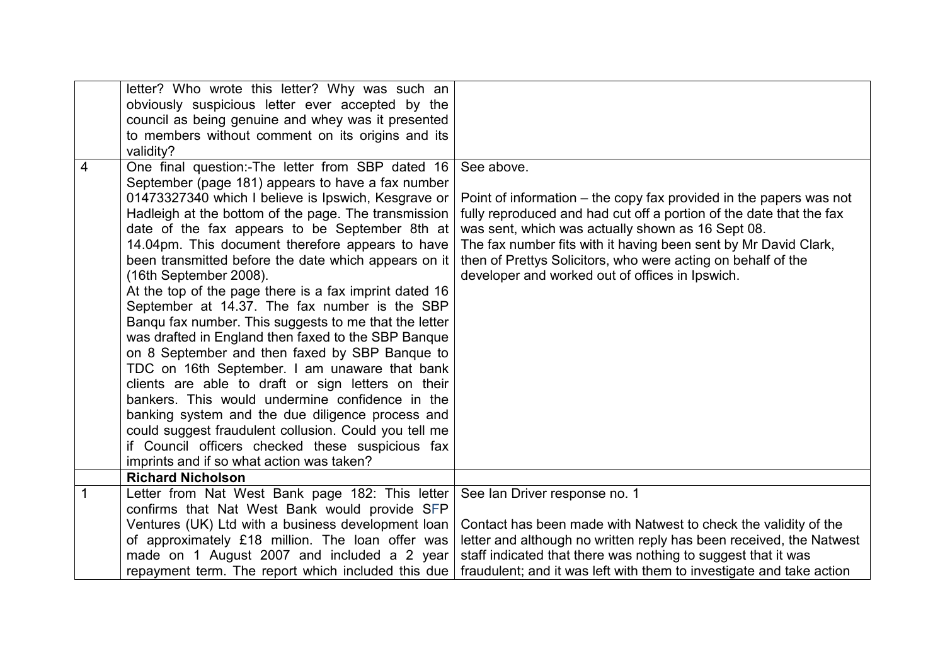|                | letter? Who wrote this letter? Why was such an         |                                                                      |
|----------------|--------------------------------------------------------|----------------------------------------------------------------------|
|                | obviously suspicious letter ever accepted by the       |                                                                      |
|                | council as being genuine and whey was it presented     |                                                                      |
|                | to members without comment on its origins and its      |                                                                      |
|                | validity?                                              |                                                                      |
| $\overline{4}$ | One final question:-The letter from SBP dated 16       | See above.                                                           |
|                | September (page 181) appears to have a fax number      |                                                                      |
|                | 01473327340 which I believe is Ipswich, Kesgrave or    | Point of information - the copy fax provided in the papers was not   |
|                | Hadleigh at the bottom of the page. The transmission   | fully reproduced and had cut off a portion of the date that the fax  |
|                | date of the fax appears to be September 8th at         | was sent, which was actually shown as 16 Sept 08.                    |
|                | 14.04pm. This document therefore appears to have       | The fax number fits with it having been sent by Mr David Clark,      |
|                | been transmitted before the date which appears on it   | then of Prettys Solicitors, who were acting on behalf of the         |
|                | (16th September 2008).                                 | developer and worked out of offices in Ipswich.                      |
|                | At the top of the page there is a fax imprint dated 16 |                                                                      |
|                | September at 14.37. The fax number is the SBP          |                                                                      |
|                | Bangu fax number. This suggests to me that the letter  |                                                                      |
|                | was drafted in England then faxed to the SBP Banque    |                                                                      |
|                | on 8 September and then faxed by SBP Banque to         |                                                                      |
|                | TDC on 16th September. I am unaware that bank          |                                                                      |
|                | clients are able to draft or sign letters on their     |                                                                      |
|                | bankers. This would undermine confidence in the        |                                                                      |
|                | banking system and the due diligence process and       |                                                                      |
|                | could suggest fraudulent collusion. Could you tell me  |                                                                      |
|                | if Council officers checked these suspicious fax       |                                                                      |
|                | imprints and if so what action was taken?              |                                                                      |
|                | <b>Richard Nicholson</b>                               |                                                                      |
| 1              | Letter from Nat West Bank page 182: This letter        | See Ian Driver response no. 1                                        |
|                | confirms that Nat West Bank would provide SFP          |                                                                      |
|                | Ventures (UK) Ltd with a business development loan     | Contact has been made with Natwest to check the validity of the      |
|                | of approximately £18 million. The loan offer was       | letter and although no written reply has been received, the Natwest  |
|                | made on 1 August 2007 and included a 2 year            | staff indicated that there was nothing to suggest that it was        |
|                | repayment term. The report which included this due     | fraudulent; and it was left with them to investigate and take action |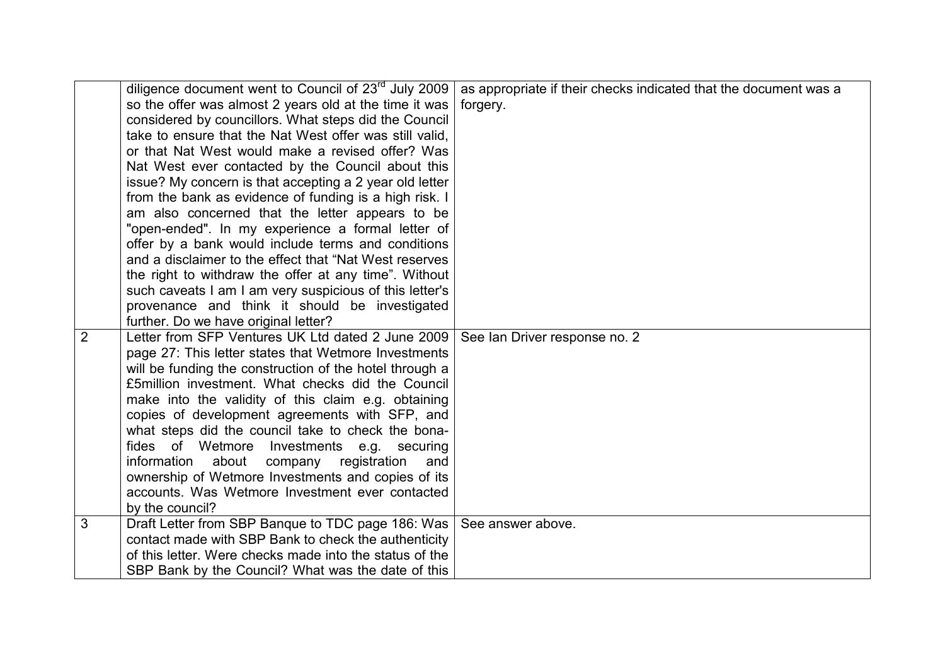|                | diligence document went to Council of 23 <sup>rd</sup> July 2009 | as appropriate if their checks indicated that the document was a |
|----------------|------------------------------------------------------------------|------------------------------------------------------------------|
|                | so the offer was almost 2 years old at the time it was           | forgery.                                                         |
|                | considered by councillors. What steps did the Council            |                                                                  |
|                | take to ensure that the Nat West offer was still valid.          |                                                                  |
|                | or that Nat West would make a revised offer? Was                 |                                                                  |
|                | Nat West ever contacted by the Council about this                |                                                                  |
|                | issue? My concern is that accepting a 2 year old letter          |                                                                  |
|                | from the bank as evidence of funding is a high risk. I           |                                                                  |
|                | am also concerned that the letter appears to be                  |                                                                  |
|                | "open-ended". In my experience a formal letter of                |                                                                  |
|                | offer by a bank would include terms and conditions               |                                                                  |
|                | and a disclaimer to the effect that "Nat West reserves           |                                                                  |
|                | the right to withdraw the offer at any time". Without            |                                                                  |
|                | such caveats I am I am very suspicious of this letter's          |                                                                  |
|                | provenance and think it should be investigated                   |                                                                  |
|                | further. Do we have original letter?                             |                                                                  |
| $\overline{2}$ | Letter from SFP Ventures UK Ltd dated 2 June 2009                | See Ian Driver response no. 2                                    |
|                | page 27: This letter states that Wetmore Investments             |                                                                  |
|                | will be funding the construction of the hotel through a          |                                                                  |
|                | £5 million investment. What checks did the Council               |                                                                  |
|                | make into the validity of this claim e.g. obtaining              |                                                                  |
|                | copies of development agreements with SFP, and                   |                                                                  |
|                | what steps did the council take to check the bona-               |                                                                  |
|                | fides of Wetmore Investments e.g. securing                       |                                                                  |
|                | information<br>about<br>registration<br>company<br>and           |                                                                  |
|                | ownership of Wetmore Investments and copies of its               |                                                                  |
|                | accounts. Was Wetmore Investment ever contacted                  |                                                                  |
|                | by the council?                                                  |                                                                  |
| 3              | Draft Letter from SBP Banque to TDC page 186: Was                | See answer above.                                                |
|                | contact made with SBP Bank to check the authenticity             |                                                                  |
|                | of this letter. Were checks made into the status of the          |                                                                  |
|                | SBP Bank by the Council? What was the date of this               |                                                                  |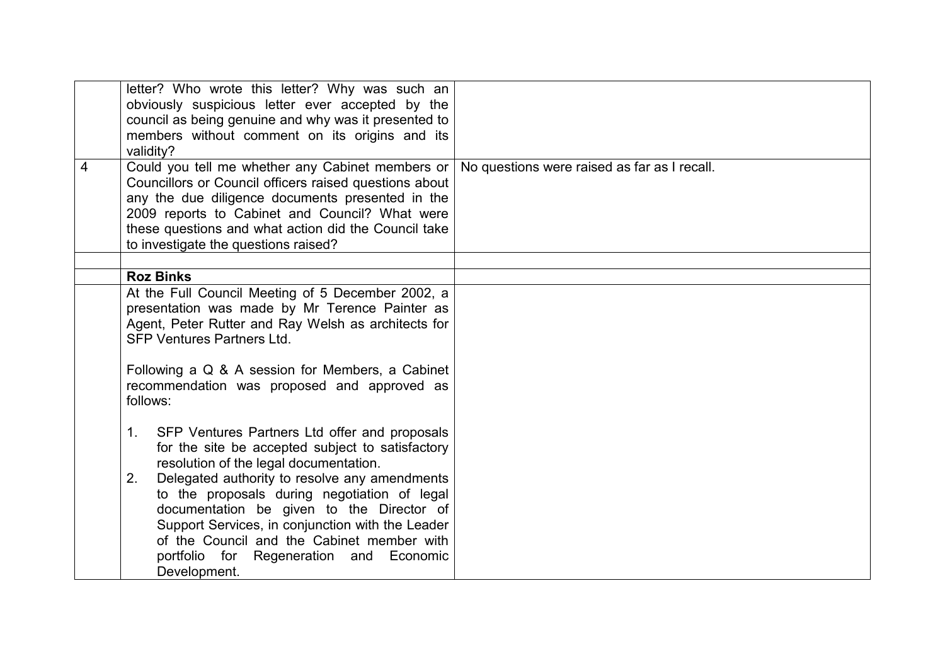| 4 | letter? Who wrote this letter? Why was such an<br>obviously suspicious letter ever accepted by the<br>council as being genuine and why was it presented to<br>members without comment on its origins and its<br>validity?<br>Could you tell me whether any Cabinet members or<br>Councillors or Council officers raised questions about | No questions were raised as far as I recall. |
|---|-----------------------------------------------------------------------------------------------------------------------------------------------------------------------------------------------------------------------------------------------------------------------------------------------------------------------------------------|----------------------------------------------|
|   | any the due diligence documents presented in the<br>2009 reports to Cabinet and Council? What were<br>these questions and what action did the Council take<br>to investigate the questions raised?                                                                                                                                      |                                              |
|   | <b>Roz Binks</b>                                                                                                                                                                                                                                                                                                                        |                                              |
|   | At the Full Council Meeting of 5 December 2002, a                                                                                                                                                                                                                                                                                       |                                              |
|   | presentation was made by Mr Terence Painter as<br>Agent, Peter Rutter and Ray Welsh as architects for<br><b>SFP Ventures Partners Ltd.</b>                                                                                                                                                                                              |                                              |
|   | Following a Q & A session for Members, a Cabinet<br>recommendation was proposed and approved as<br>follows:                                                                                                                                                                                                                             |                                              |
|   | SFP Ventures Partners Ltd offer and proposals<br>$1_{\ldots}$<br>for the site be accepted subject to satisfactory<br>resolution of the legal documentation.                                                                                                                                                                             |                                              |
|   | Delegated authority to resolve any amendments<br>2.<br>to the proposals during negotiation of legal<br>documentation be given to the Director of<br>Support Services, in conjunction with the Leader<br>of the Council and the Cabinet member with<br>portfolio for Regeneration and Economic<br>Development.                           |                                              |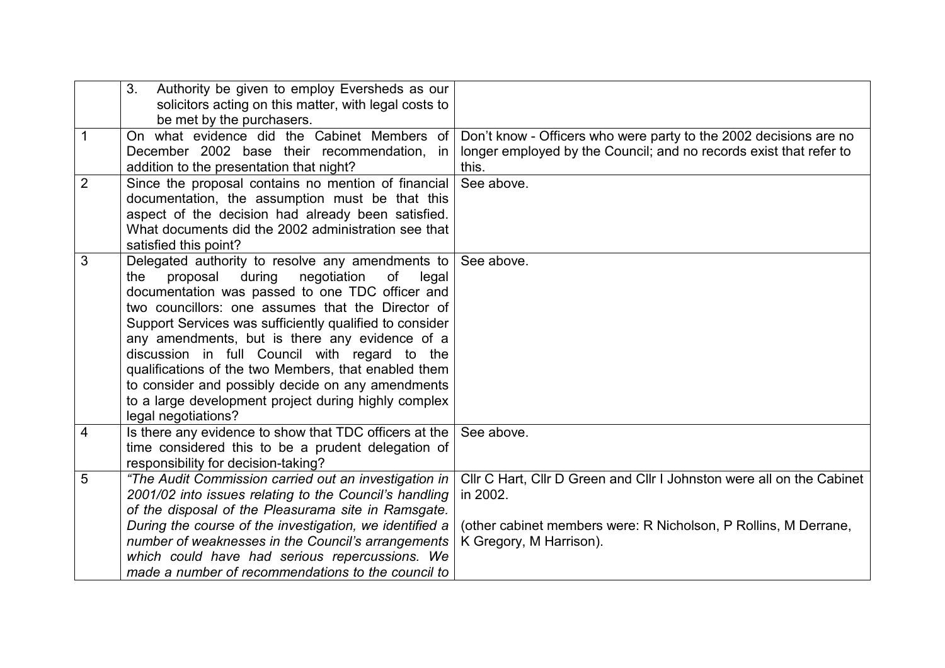|                | Authority be given to employ Eversheds as our<br>3 <sub>1</sub><br>solicitors acting on this matter, with legal costs to<br>be met by the purchasers.                                                                                                                                                                                                                                                                                                                                                                                                                         |                                                                                                                                                                                 |
|----------------|-------------------------------------------------------------------------------------------------------------------------------------------------------------------------------------------------------------------------------------------------------------------------------------------------------------------------------------------------------------------------------------------------------------------------------------------------------------------------------------------------------------------------------------------------------------------------------|---------------------------------------------------------------------------------------------------------------------------------------------------------------------------------|
| 1              | On what evidence did the Cabinet Members of<br>December 2002 base their recommendation, in<br>addition to the presentation that night?                                                                                                                                                                                                                                                                                                                                                                                                                                        | Don't know - Officers who were party to the 2002 decisions are no<br>longer employed by the Council; and no records exist that refer to<br>this.                                |
| $\overline{2}$ | Since the proposal contains no mention of financial<br>documentation, the assumption must be that this<br>aspect of the decision had already been satisfied.<br>What documents did the 2002 administration see that<br>satisfied this point?                                                                                                                                                                                                                                                                                                                                  | See above.                                                                                                                                                                      |
| 3              | Delegated authority to resolve any amendments to<br>negotiation<br>proposal<br>during<br>of<br>the<br>legal<br>documentation was passed to one TDC officer and<br>two councillors: one assumes that the Director of<br>Support Services was sufficiently qualified to consider<br>any amendments, but is there any evidence of a<br>discussion in full Council with regard to the<br>qualifications of the two Members, that enabled them<br>to consider and possibly decide on any amendments<br>to a large development project during highly complex<br>legal negotiations? | See above.                                                                                                                                                                      |
| 4              | Is there any evidence to show that TDC officers at the<br>time considered this to be a prudent delegation of<br>responsibility for decision-taking?                                                                                                                                                                                                                                                                                                                                                                                                                           | See above.                                                                                                                                                                      |
| 5              | "The Audit Commission carried out an investigation in<br>2001/02 into issues relating to the Council's handling<br>of the disposal of the Pleasurama site in Ramsgate.<br>During the course of the investigation, we identified a<br>number of weaknesses in the Council's arrangements<br>which could have had serious repercussions. We<br>made a number of recommendations to the council to                                                                                                                                                                               | CIIr C Hart, CIIr D Green and CIIr I Johnston were all on the Cabinet<br>in 2002.<br>(other cabinet members were: R Nicholson, P Rollins, M Derrane,<br>K Gregory, M Harrison). |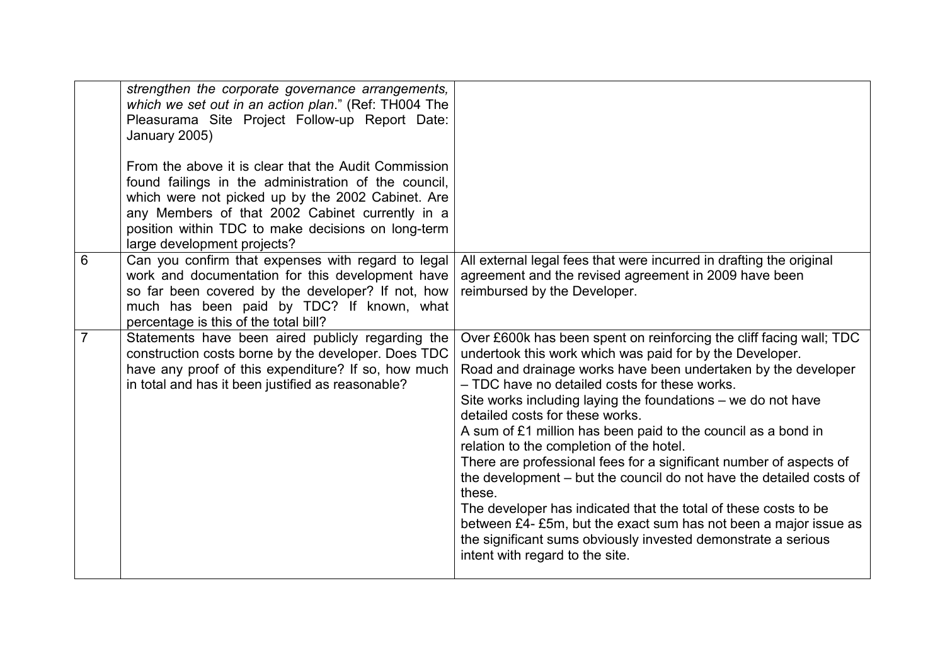|                | strengthen the corporate governance arrangements,<br>which we set out in an action plan." (Ref: TH004 The<br>Pleasurama Site Project Follow-up Report Date:<br>January 2005)                                                                                                                              |                                                                                                                                                                                                                                                                                                                                                                                                                                                                                                                                                                                                                                                                                                                                                                                                                                                                     |
|----------------|-----------------------------------------------------------------------------------------------------------------------------------------------------------------------------------------------------------------------------------------------------------------------------------------------------------|---------------------------------------------------------------------------------------------------------------------------------------------------------------------------------------------------------------------------------------------------------------------------------------------------------------------------------------------------------------------------------------------------------------------------------------------------------------------------------------------------------------------------------------------------------------------------------------------------------------------------------------------------------------------------------------------------------------------------------------------------------------------------------------------------------------------------------------------------------------------|
|                | From the above it is clear that the Audit Commission<br>found failings in the administration of the council,<br>which were not picked up by the 2002 Cabinet. Are<br>any Members of that 2002 Cabinet currently in a<br>position within TDC to make decisions on long-term<br>large development projects? |                                                                                                                                                                                                                                                                                                                                                                                                                                                                                                                                                                                                                                                                                                                                                                                                                                                                     |
| 6              | Can you confirm that expenses with regard to legal<br>work and documentation for this development have<br>so far been covered by the developer? If not, how<br>much has been paid by TDC? If known, what<br>percentage is this of the total bill?                                                         | All external legal fees that were incurred in drafting the original<br>agreement and the revised agreement in 2009 have been<br>reimbursed by the Developer.                                                                                                                                                                                                                                                                                                                                                                                                                                                                                                                                                                                                                                                                                                        |
| $\overline{7}$ | Statements have been aired publicly regarding the<br>construction costs borne by the developer. Does TDC<br>have any proof of this expenditure? If so, how much<br>in total and has it been justified as reasonable?                                                                                      | Over £600k has been spent on reinforcing the cliff facing wall; TDC<br>undertook this work which was paid for by the Developer.<br>Road and drainage works have been undertaken by the developer<br>- TDC have no detailed costs for these works.<br>Site works including laying the foundations – we do not have<br>detailed costs for these works.<br>A sum of £1 million has been paid to the council as a bond in<br>relation to the completion of the hotel.<br>There are professional fees for a significant number of aspects of<br>the development – but the council do not have the detailed costs of<br>these.<br>The developer has indicated that the total of these costs to be<br>between £4- £5m, but the exact sum has not been a major issue as<br>the significant sums obviously invested demonstrate a serious<br>intent with regard to the site. |